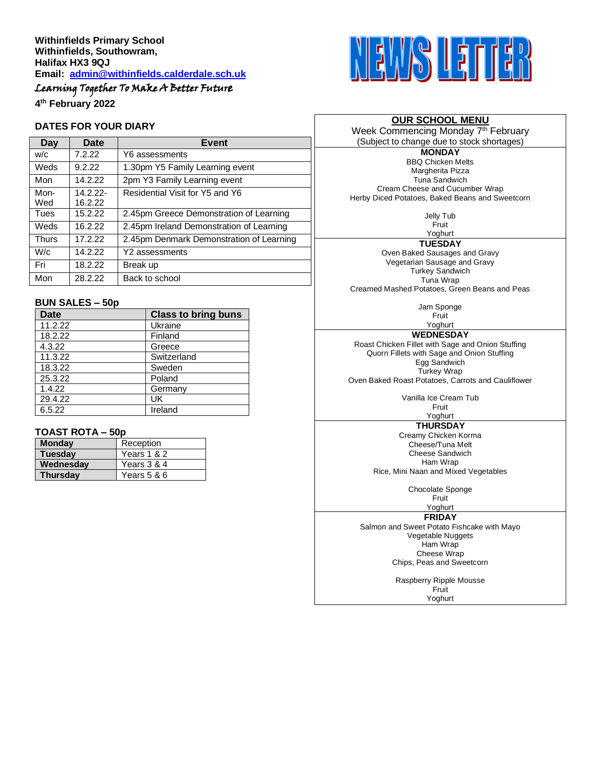## Learning Together To Make A Better Future

**4 th February 2022**

#### **DATES FOR YOUR DIARY**

| Day          | Date                   | Event                                    |  |
|--------------|------------------------|------------------------------------------|--|
| W/C          | 7.2.22                 | Y6 assessments                           |  |
| Weds         | 9.2.22                 | 1.30pm Y5 Family Learning event          |  |
| Mon          | 14.2.22                | 2pm Y3 Family Learning event             |  |
| Mon-<br>Wed  | $14.2.22 -$<br>16.2.22 | Residential Visit for Y5 and Y6          |  |
| Tues         | 15.2.22                | 2.45pm Greece Demonstration of Learning  |  |
| Weds         | 16.2.22                | 2.45pm Ireland Demonstration of Learning |  |
| <b>Thurs</b> | 17.2.22                | 2.45pm Denmark Demonstration of Learning |  |
| W/c          | 14.2.22                | Y2 assessments                           |  |
| Fri          | 18.2.22                | Break up                                 |  |
| Mon          | 28.2.22                | Back to school                           |  |
|              |                        |                                          |  |

#### **BUN SALES – 50p**

| <b>Date</b> | <b>Class to bring buns</b> |
|-------------|----------------------------|
| 11.2.22     | Ukraine                    |
| 18.2.22     | Finland                    |
| 4.3.22      | Greece                     |
| 11.3.22     | Switzerland                |
| 18.3.22     | Sweden                     |
| 25.3.22     | Poland                     |
| 1.4.22      | Germany                    |
| 29.4.22     | UK                         |
| 6.5.22      | Ireland                    |

#### **TOAST ROTA – 50p**

| <b>Monday</b>   | Reception   |  |  |
|-----------------|-------------|--|--|
| <b>Tuesday</b>  | Years 1 & 2 |  |  |
| Wednesday       | Years 3 & 4 |  |  |
| <b>Thursday</b> | Years 5 & 6 |  |  |



#### **OUR SCHOOL MENU**

Week Commencing Monday 7<sup>th</sup> February (Subject to change due to stock shortages)

**MONDAY** BBQ Chicken Melts Margherita Pizza Tuna Sandwich Cream Cheese and Cucumber Wrap Herby Diced Potatoes, Baked Beans and Sweetcorn

> Jelly Tub Fruit

Yoghurt

**TUESDAY**

Oven Baked Sausages and Gravy Vegetarian Sausage and Gravy Turkey Sandwich Tuna Wrap Creamed Mashed Potatoes, Green Beans and Peas

> Jam Sponge Fruit

Yoghurt **WEDNESDAY**

Roast Chicken Fillet with Sage and Onion Stuffing Quorn Fillets with Sage and Onion Stuffing Egg Sandwich Turkey Wrap Oven Baked Roast Potatoes, Carrots and Cauliflower

> Vanilla Ice Cream Tub Fruit

### Yoghurt

**THURSDAY** Creamy Chicken Korma Cheese/Tuna Melt Cheese Sandwich Ham Wrap

Rice, Mini Naan and Mixed Vegetables

Chocolate Sponge

Fruit Yoghurt

**FRIDAY**

Salmon and Sweet Potato Fishcake with Mayo Vegetable Nuggets Ham Wrap Cheese Wrap Chips, Peas and Sweetcorn

> Raspberry Ripple Mousse **Fruit** Yoghurt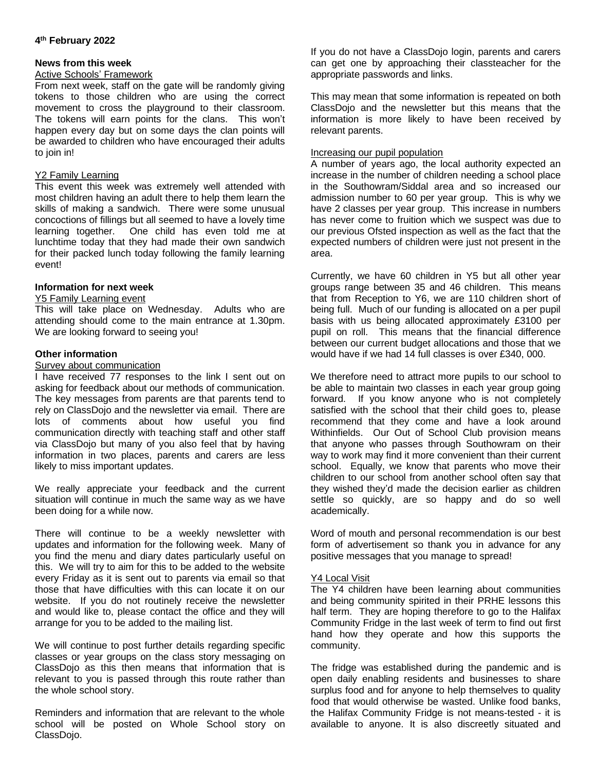#### **4 th February 2022**

#### **News from this week**

#### Active Schools' Framework

From next week, staff on the gate will be randomly giving tokens to those children who are using the correct movement to cross the playground to their classroom. The tokens will earn points for the clans. This won't happen every day but on some days the clan points will be awarded to children who have encouraged their adults to join in!

#### Y<sub>2</sub> Family Learning

This event this week was extremely well attended with most children having an adult there to help them learn the skills of making a sandwich. There were some unusual concoctions of fillings but all seemed to have a lovely time learning together. One child has even told me at lunchtime today that they had made their own sandwich for their packed lunch today following the family learning event!

#### **Information for next week**

#### Y5 Family Learning event

This will take place on Wednesday. Adults who are attending should come to the main entrance at 1.30pm. We are looking forward to seeing you!

#### **Other information**

#### Survey about communication

I have received 77 responses to the link I sent out on asking for feedback about our methods of communication. The key messages from parents are that parents tend to rely on ClassDojo and the newsletter via email. There are lots of comments about how useful you find communication directly with teaching staff and other staff via ClassDojo but many of you also feel that by having information in two places, parents and carers are less likely to miss important updates.

We really appreciate your feedback and the current situation will continue in much the same way as we have been doing for a while now.

There will continue to be a weekly newsletter with updates and information for the following week. Many of you find the menu and diary dates particularly useful on this. We will try to aim for this to be added to the website every Friday as it is sent out to parents via email so that those that have difficulties with this can locate it on our website. If you do not routinely receive the newsletter and would like to, please contact the office and they will arrange for you to be added to the mailing list.

We will continue to post further details regarding specific classes or year groups on the class story messaging on ClassDojo as this then means that information that is relevant to you is passed through this route rather than the whole school story.

Reminders and information that are relevant to the whole school will be posted on Whole School story on ClassDojo.

If you do not have a ClassDojo login, parents and carers can get one by approaching their classteacher for the appropriate passwords and links.

This may mean that some information is repeated on both ClassDojo and the newsletter but this means that the information is more likely to have been received by relevant parents.

#### Increasing our pupil population

A number of years ago, the local authority expected an increase in the number of children needing a school place in the Southowram/Siddal area and so increased our admission number to 60 per year group. This is why we have 2 classes per year group. This increase in numbers has never come to fruition which we suspect was due to our previous Ofsted inspection as well as the fact that the expected numbers of children were just not present in the area.

Currently, we have 60 children in Y5 but all other year groups range between 35 and 46 children. This means that from Reception to Y6, we are 110 children short of being full. Much of our funding is allocated on a per pupil basis with us being allocated approximately £3100 per pupil on roll. This means that the financial difference between our current budget allocations and those that we would have if we had 14 full classes is over £340, 000.

We therefore need to attract more pupils to our school to be able to maintain two classes in each year group going forward. If you know anyone who is not completely satisfied with the school that their child goes to, please recommend that they come and have a look around Withinfields. Our Out of School Club provision means that anyone who passes through Southowram on their way to work may find it more convenient than their current school. Equally, we know that parents who move their children to our school from another school often say that they wished they'd made the decision earlier as children settle so quickly, are so happy and do so well academically.

Word of mouth and personal recommendation is our best form of advertisement so thank you in advance for any positive messages that you manage to spread!

#### Y4 Local Visit

The Y4 children have been learning about communities and being community spirited in their PRHE lessons this half term. They are hoping therefore to go to the Halifax Community Fridge in the last week of term to find out first hand how they operate and how this supports the community.

The fridge was established during the pandemic and is open daily enabling residents and businesses to share surplus food and for anyone to help themselves to quality food that would otherwise be wasted. Unlike food banks, the Halifax Community Fridge is not means-tested - it is available to anyone. It is also discreetly situated and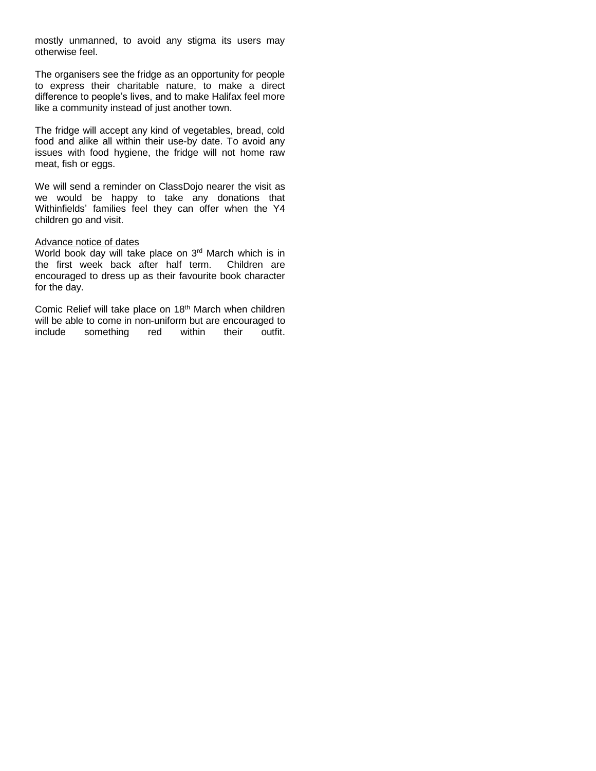mostly unmanned, to avoid any stigma its users may otherwise feel.

The organisers see the fridge as an opportunity for people to express their charitable nature, to make a direct difference to people's lives, and to make Halifax feel more like a community instead of just another town.

The fridge will accept any kind of vegetables, bread, cold food and alike all within their use-by date. To avoid any issues with food hygiene, the fridge will not home raw meat, fish or eggs.

We will send a reminder on ClassDojo nearer the visit as we would be happy to take any donations that Withinfields' families feel they can offer when the Y4 children go and visit.

#### Advance notice of dates

World book day will take place on  $3<sup>rd</sup>$  March which is in the first week back after half term. Children are the first week back after half term. encouraged to dress up as their favourite book character for the day.

Comic Relief will take place on 18<sup>th</sup> March when children will be able to come in non-uniform but are encouraged to include something red within their outfit.